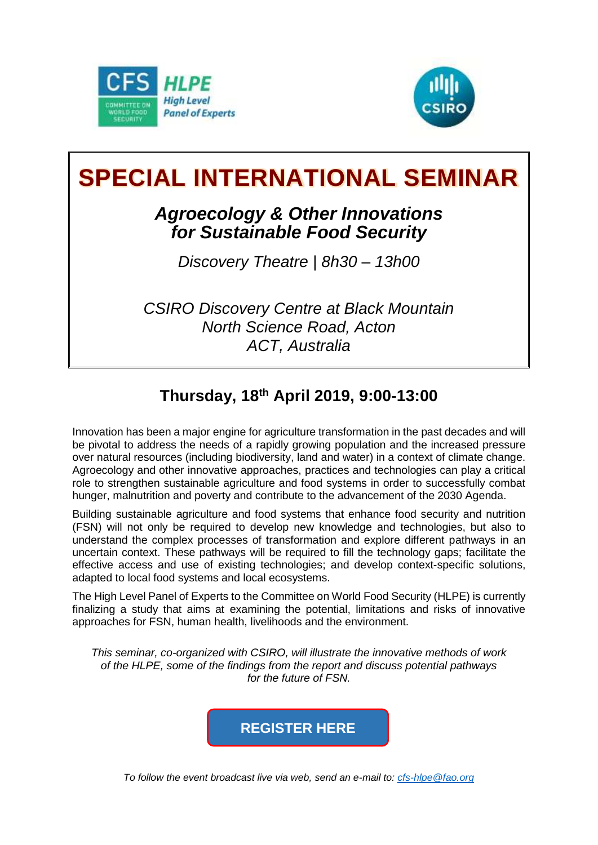



## **SPECIAL INTERNATIONAL SEMINAR**

## *Agroecology & Other Innovations for Sustainable Food Security*

*Discovery Theatre | 8h30 – 13h00*

*CSIRO Discovery Centre at Black Mountain North Science Road, Acton ACT, Australia*

## **Thursday, 18th April 2019, 9:00-13:00**

Innovation has been a major engine for agriculture transformation in the past decades and will be pivotal to address the needs of a rapidly growing population and the increased pressure over natural resources (including biodiversity, land and water) in a context of climate change. Agroecology and other innovative approaches, practices and technologies can play a critical role to strengthen sustainable agriculture and food systems in order to successfully combat hunger, malnutrition and poverty and contribute to the advancement of the 2030 Agenda.

Building sustainable agriculture and food systems that enhance food security and nutrition (FSN) will not only be required to develop new knowledge and technologies, but also to understand the complex processes of transformation and explore different pathways in an uncertain context. These pathways will be required to fill the technology gaps; facilitate the effective access and use of existing technologies; and develop context-specific solutions, adapted to local food systems and local ecosystems.

The High Level Panel of Experts to the Committee on World Food Security (HLPE) is currently finalizing a study that aims at examining the potential, limitations and risks of innovative approaches for FSN, human health, livelihoods and the environment.

*This seminar, co-organized with CSIRO, will illustrate the innovative methods of work of the HLPE, some of the findings from the report and discuss potential pathways for the future of FSN.*



*To follow the event broadcast live via web, send an e-mail to: [cfs-hlpe@fao.org](mailto:cfs-hlpe@fao.org)*